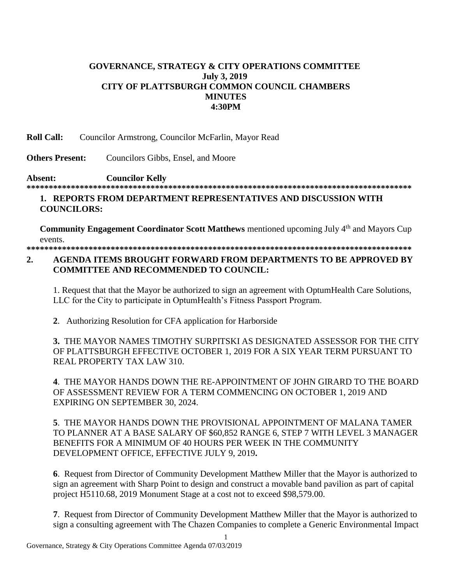## **GOVERNANCE, STRATEGY & CITY OPERATIONS COMMITTEE July 3, 2019 CITY OF PLATTSBURGH COMMON COUNCIL CHAMBERS MINUTES 4:30PM**

**Roll Call:** Councilor Armstrong, Councilor McFarlin, Mayor Read

**Others Present:** Councilors Gibbs, Ensel, and Moore

### **Absent: Councilor Kelly \*\*\*\*\*\*\*\*\*\*\*\*\*\*\*\*\*\*\*\*\*\*\*\*\*\*\*\*\*\*\*\*\*\*\*\*\*\*\*\*\*\*\*\*\*\*\*\*\*\*\*\*\*\*\*\*\*\*\*\*\*\*\*\*\*\*\*\*\*\*\*\*\*\*\*\*\*\*\*\*\*\*\*\*\*\*\***

## **1. REPORTS FROM DEPARTMENT REPRESENTATIVES AND DISCUSSION WITH COUNCILORS:**

**Community Engagement Coordinator Scott Matthews** mentioned upcoming July 4<sup>th</sup> and Mayors Cup events. **\*\*\*\*\*\*\*\*\*\*\*\*\*\*\*\*\*\*\*\*\*\*\*\*\*\*\*\*\*\*\*\*\*\*\*\*\*\*\*\*\*\*\*\*\*\*\*\*\*\*\*\*\*\*\*\*\*\*\*\*\*\*\*\*\*\*\*\*\*\*\*\*\*\*\*\*\*\*\*\*\*\*\*\*\*\*\***

# **2. AGENDA ITEMS BROUGHT FORWARD FROM DEPARTMENTS TO BE APPROVED BY COMMITTEE AND RECOMMENDED TO COUNCIL:**

1. Request that that the Mayor be authorized to sign an agreement with OptumHealth Care Solutions, LLC for the City to participate in OptumHealth's Fitness Passport Program.

 **2**. Authorizing Resolution for CFA application for Harborside

**3.** THE MAYOR NAMES TIMOTHY SURPITSKI AS DESIGNATED ASSESSOR FOR THE CITY OF PLATTSBURGH EFFECTIVE OCTOBER 1, 2019 FOR A SIX YEAR TERM PURSUANT TO REAL PROPERTY TAX LAW 310.

**4**. THE MAYOR HANDS DOWN THE RE-APPOINTMENT OF JOHN GIRARD TO THE BOARD OF ASSESSMENT REVIEW FOR A TERM COMMENCING ON OCTOBER 1, 2019 AND EXPIRING ON SEPTEMBER 30, 2024.

**5**. THE MAYOR HANDS DOWN THE PROVISIONAL APPOINTMENT OF MALANA TAMER TO PLANNER AT A BASE SALARY OF \$60,852 RANGE 6, STEP 7 WITH LEVEL 3 MANAGER BENEFITS FOR A MINIMUM OF 40 HOURS PER WEEK IN THE COMMUNITY DEVELOPMENT OFFICE, EFFECTIVE JULY 9, 2019**.**

**6**. Request from Director of Community Development Matthew Miller that the Mayor is authorized to sign an agreement with Sharp Point to design and construct a movable band pavilion as part of capital project H5110.68, 2019 Monument Stage at a cost not to exceed \$98,579.00.

**7**. Request from Director of Community Development Matthew Miller that the Mayor is authorized to sign a consulting agreement with The Chazen Companies to complete a Generic Environmental Impact

1